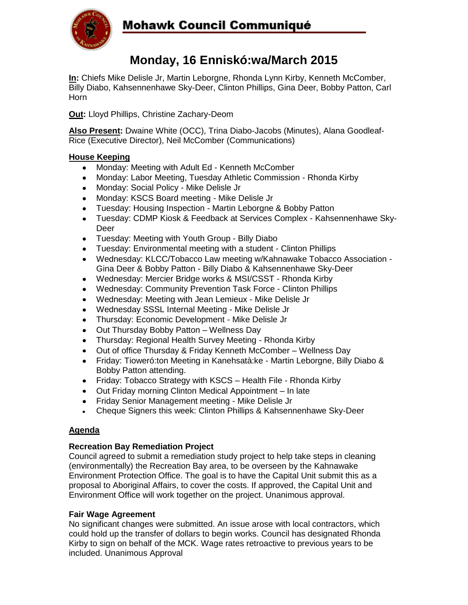

# Mohawk Council Communiqué

## **Monday, 16 Enniskó:wa/March 2015**

**In:** Chiefs Mike Delisle Jr, Martin Leborgne, Rhonda Lynn Kirby, Kenneth McComber, Billy Diabo, Kahsennenhawe Sky-Deer, Clinton Phillips, Gina Deer, Bobby Patton, Carl Horn

**Out:** Lloyd Phillips, Christine Zachary-Deom

**Also Present:** Dwaine White (OCC), Trina Diabo-Jacobs (Minutes), Alana Goodleaf-Rice (Executive Director), Neil McComber (Communications)

### **House Keeping**

- Monday: Meeting with Adult Ed Kenneth McComber
- Monday: Labor Meeting, Tuesday Athletic Commission Rhonda Kirby
- Monday: Social Policy Mike Delisle Jr
- Monday: KSCS Board meeting Mike Delisle Jr
- Tuesday: Housing Inspection Martin Leborgne & Bobby Patton
- Tuesday: CDMP Kiosk & Feedback at Services Complex Kahsennenhawe Sky- $\bullet$ Deer
- Tuesday: Meeting with Youth Group Billy Diabo
- Tuesday: Environmental meeting with a student Clinton Phillips
- Wednesday: KLCC/Tobacco Law meeting w/Kahnawake Tobacco Association Gina Deer & Bobby Patton - Billy Diabo & Kahsennenhawe Sky-Deer
- Wednesday: Mercier Bridge works & MSI/CSST Rhonda Kirby
- Wednesday: Community Prevention Task Force Clinton Phillips
- Wednesday: Meeting with Jean Lemieux Mike Delisle Jr
- Wednesday SSSL Internal Meeting Mike Delisle Jr  $\bullet$
- Thursday: Economic Development Mike Delisle Jr
- Out Thursday Bobby Patton Wellness Day
- Thursday: Regional Health Survey Meeting Rhonda Kirby
- Out of office Thursday & Friday Kenneth McComber Wellness Day
- Friday: Tioweró:ton Meeting in Kanehsatà:ke Martin Leborgne, Billy Diabo & Bobby Patton attending.
- Friday: Tobacco Strategy with KSCS Health File Rhonda Kirby
- Out Friday morning Clinton Medical Appointment In late
- Friday Senior Management meeting Mike Delisle Jr
- Cheque Signers this week: Clinton Phillips & Kahsennenhawe Sky-Deer

#### **Agenda**

#### **Recreation Bay Remediation Project**

Council agreed to submit a remediation study project to help take steps in cleaning (environmentally) the Recreation Bay area, to be overseen by the Kahnawake Environment Protection Office. The goal is to have the Capital Unit submit this as a proposal to Aboriginal Affairs, to cover the costs. If approved, the Capital Unit and Environment Office will work together on the project. Unanimous approval.

#### **Fair Wage Agreement**

No significant changes were submitted. An issue arose with local contractors, which could hold up the transfer of dollars to begin works. Council has designated Rhonda Kirby to sign on behalf of the MCK. Wage rates retroactive to previous years to be included. Unanimous Approval